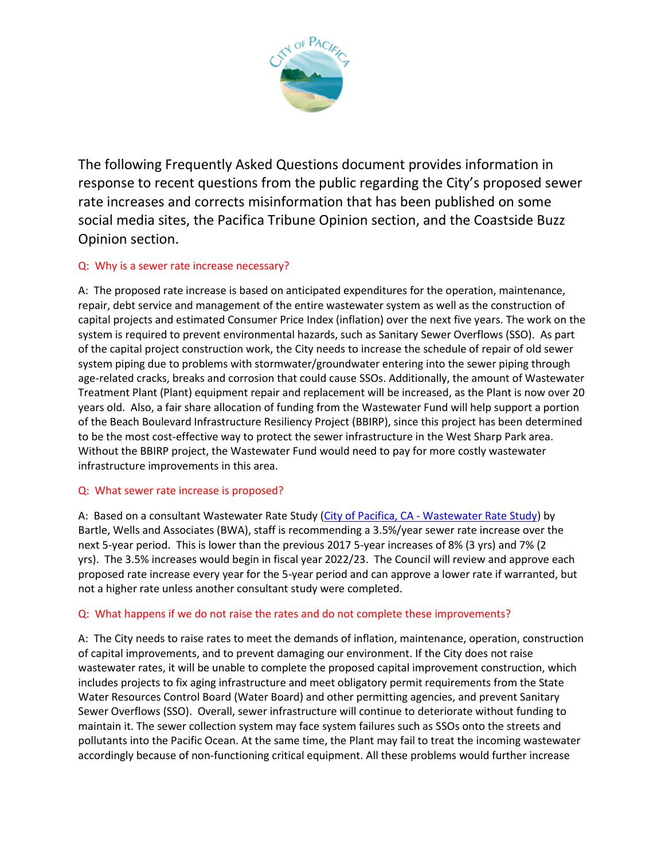

The following Frequently Asked Questions document provides information in response to recent questions from the public regarding the City's proposed sewer rate increases and corrects misinformation that has been published on some social media sites, the Pacifica Tribune Opinion section, and the Coastside Buzz Opinion section.

# Q: Why is a sewer rate increase necessary?

A: The proposed rate increase is based on anticipated expenditures for the operation, maintenance, repair, debt service and management of the entire wastewater system as well as the construction of capital projects and estimated Consumer Price Index (inflation) over the next five years. The work on the system is required to prevent environmental hazards, such as Sanitary Sewer Overflows (SSO). As part of the capital project construction work, the City needs to increase the schedule of repair of old sewer system piping due to problems with stormwater/groundwater entering into the sewer piping through age-related cracks, breaks and corrosion that could cause SSOs. Additionally, the amount of Wastewater Treatment Plant (Plant) equipment repair and replacement will be increased, as the Plant is now over 20 years old. Also, a fair share allocation of funding from the Wastewater Fund will help support a portion of the Beach Boulevard Infrastructure Resiliency Project (BBIRP), since this project has been determined to be the most cost-effective way to protect the sewer infrastructure in the West Sharp Park area. Without the BBIRP project, the Wastewater Fund would need to pay for more costly wastewater infrastructure improvements in this area.

# Q: What sewer rate increase is proposed?

A: Based on a consultant Wastewater Rate Study (City of Pacifica, CA - [Wastewater Rate Study\)](https://www.cityofpacifica.org/depts/pw/wwt/wastewater_rate_study.asp) by Bartle, Wells and Associates (BWA), staff is recommending a 3.5%/year sewer rate increase over the next 5-year period. This is lower than the previous 2017 5-year increases of 8% (3 yrs) and 7% (2 yrs). The 3.5% increases would begin in fiscal year 2022/23. The Council will review and approve each proposed rate increase every year for the 5-year period and can approve a lower rate if warranted, but not a higher rate unless another consultant study were completed.

# Q: What happens if we do not raise the rates and do not complete these improvements?

A: The City needs to raise rates to meet the demands of inflation, maintenance, operation, construction of capital improvements, and to prevent damaging our environment. If the City does not raise wastewater rates, it will be unable to complete the proposed capital improvement construction, which includes projects to fix aging infrastructure and meet obligatory permit requirements from the State Water Resources Control Board (Water Board) and other permitting agencies, and prevent Sanitary Sewer Overflows (SSO). Overall, sewer infrastructure will continue to deteriorate without funding to maintain it. The sewer collection system may face system failures such as SSOs onto the streets and pollutants into the Pacific Ocean. At the same time, the Plant may fail to treat the incoming wastewater accordingly because of non-functioning critical equipment. All these problems would further increase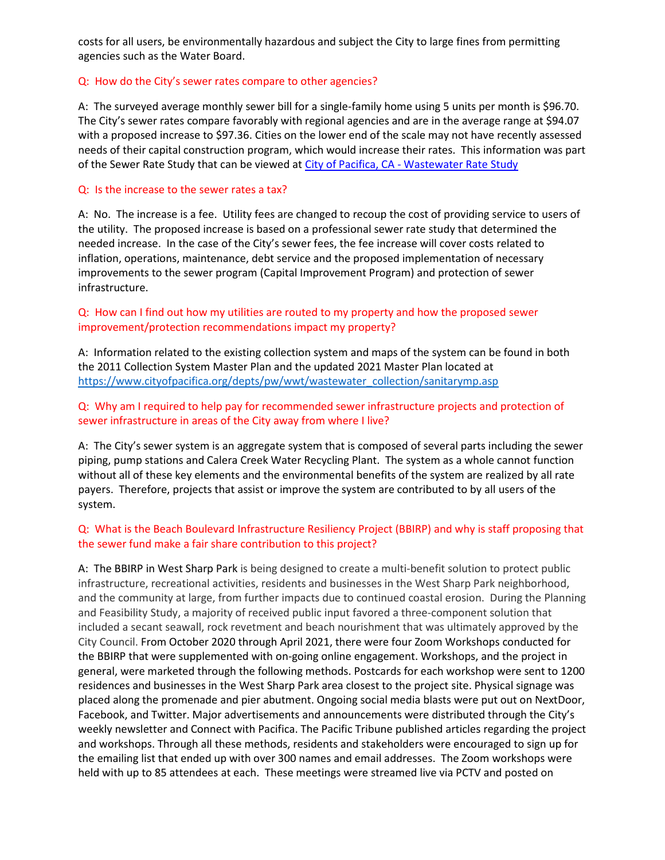costs for all users, be environmentally hazardous and subject the City to large fines from permitting agencies such as the Water Board.

#### Q: How do the City's sewer rates compare to other agencies?

A: The surveyed average monthly sewer bill for a single-family home using 5 units per month is \$96.70. The City's sewer rates compare favorably with regional agencies and are in the average range at \$94.07 with a proposed increase to \$97.36. Cities on the lower end of the scale may not have recently assessed needs of their capital construction program, which would increase their rates. This information was part of the Sewer Rate Study that can be viewed at City of Pacifica, CA - [Wastewater Rate Study](https://www.cityofpacifica.org/depts/pw/wwt/wastewater_rate_study.asp)

#### Q: Is the increase to the sewer rates a tax?

A: No. The increase is a fee. Utility fees are changed to recoup the cost of providing service to users of the utility. The proposed increase is based on a professional sewer rate study that determined the needed increase. In the case of the City's sewer fees, the fee increase will cover costs related to inflation, operations, maintenance, debt service and the proposed implementation of necessary improvements to the sewer program (Capital Improvement Program) and protection of sewer infrastructure.

#### Q: How can I find out how my utilities are routed to my property and how the proposed sewer improvement/protection recommendations impact my property?

A: Information related to the existing collection system and maps of the system can be found in both the 2011 Collection System Master Plan and the updated 2021 Master Plan located at [https://www.cityofpacifica.org/depts/pw/wwt/wastewater\\_collection/sanitarymp.asp](https://www.cityofpacifica.org/depts/pw/wwt/wastewater_collection/sanitarymp.asp)

## Q: Why am I required to help pay for recommended sewer infrastructure projects and protection of sewer infrastructure in areas of the City away from where I live?

A: The City's sewer system is an aggregate system that is composed of several parts including the sewer piping, pump stations and Calera Creek Water Recycling Plant. The system as a whole cannot function without all of these key elements and the environmental benefits of the system are realized by all rate payers. Therefore, projects that assist or improve the system are contributed to by all users of the system.

## Q: What is the Beach Boulevard Infrastructure Resiliency Project (BBIRP) and why is staff proposing that the sewer fund make a fair share contribution to this project?

A: The BBIRP in West Sharp Park is being designed to create a multi-benefit solution to protect public infrastructure, recreational activities, residents and businesses in the West Sharp Park neighborhood, and the community at large, from further impacts due to continued coastal erosion. During the Planning and Feasibility Study, a majority of received public input favored a three-component solution that included a secant seawall, rock revetment and beach nourishment that was ultimately approved by the City Council. From October 2020 through April 2021, there were four Zoom Workshops conducted for the BBIRP that were supplemented with on-going online engagement. Workshops, and the project in general, were marketed through the following methods. Postcards for each workshop were sent to 1200 residences and businesses in the West Sharp Park area closest to the project site. Physical signage was placed along the promenade and pier abutment. Ongoing social media blasts were put out on NextDoor, Facebook, and Twitter. Major advertisements and announcements were distributed through the City's weekly newsletter and Connect with Pacifica. The Pacific Tribune published articles regarding the project and workshops. Through all these methods, residents and stakeholders were encouraged to sign up for the emailing list that ended up with over 300 names and email addresses. The Zoom workshops were held with up to 85 attendees at each. These meetings were streamed live via PCTV and posted on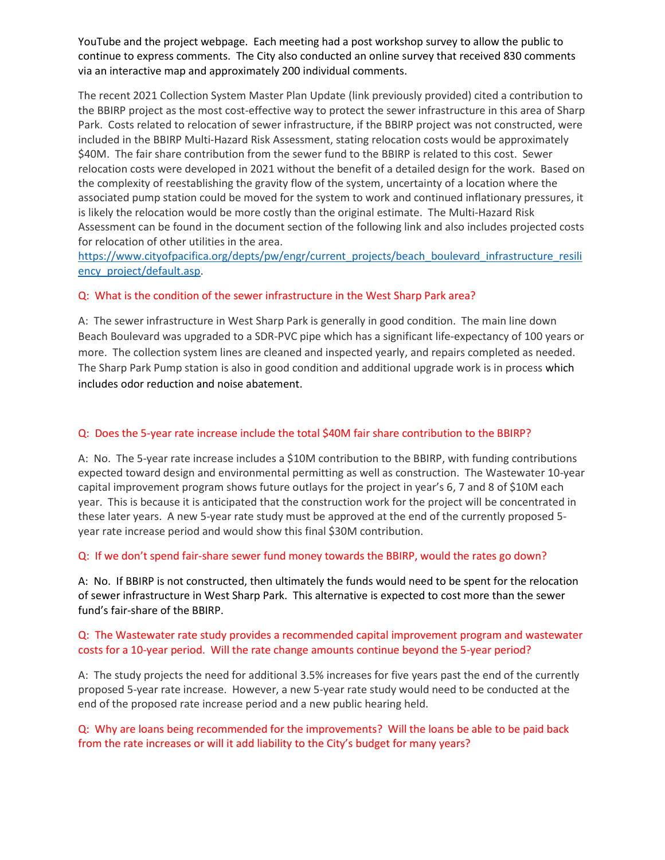YouTube and the project webpage. Each meeting had a post workshop survey to allow the public to continue to express comments. The City also conducted an online survey that received 830 comments via an interactive map and approximately 200 individual comments.

The recent 2021 Collection System Master Plan Update (link previously provided) cited a contribution to the BBIRP project as the most cost-effective way to protect the sewer infrastructure in this area of Sharp Park. Costs related to relocation of sewer infrastructure, if the BBIRP project was not constructed, were included in the BBIRP Multi-Hazard Risk Assessment, stating relocation costs would be approximately \$40M. The fair share contribution from the sewer fund to the BBIRP is related to this cost. Sewer relocation costs were developed in 2021 without the benefit of a detailed design for the work. Based on the complexity of reestablishing the gravity flow of the system, uncertainty of a location where the associated pump station could be moved for the system to work and continued inflationary pressures, it is likely the relocation would be more costly than the original estimate. The Multi-Hazard Risk Assessment can be found in the document section of the following link and also includes projected costs for relocation of other utilities in the area.

[https://www.cityofpacifica.org/depts/pw/engr/current\\_projects/beach\\_boulevard\\_infrastructure\\_resili](https://www.cityofpacifica.org/depts/pw/engr/current_projects/beach_boulevard_infrastructure_resiliency_project/default.asp) ency project/default.asp.

## Q: What is the condition of the sewer infrastructure in the West Sharp Park area?

A: The sewer infrastructure in West Sharp Park is generally in good condition. The main line down Beach Boulevard was upgraded to a SDR-PVC pipe which has a significant life-expectancy of 100 years or more. The collection system lines are cleaned and inspected yearly, and repairs completed as needed. The Sharp Park Pump station is also in good condition and additional upgrade work is in process which includes odor reduction and noise abatement.

#### Q: Does the 5-year rate increase include the total \$40M fair share contribution to the BBIRP?

A: No. The 5-year rate increase includes a \$10M contribution to the BBIRP, with funding contributions expected toward design and environmental permitting as well as construction. The Wastewater 10-year capital improvement program shows future outlays for the project in year's 6, 7 and 8 of \$10M each year. This is because it is anticipated that the construction work for the project will be concentrated in these later years. A new 5-year rate study must be approved at the end of the currently proposed 5 year rate increase period and would show this final \$30M contribution.

#### Q: If we don't spend fair-share sewer fund money towards the BBIRP, would the rates go down?

A: No. If BBIRP is not constructed, then ultimately the funds would need to be spent for the relocation of sewer infrastructure in West Sharp Park. This alternative is expected to cost more than the sewer fund's fair-share of the BBIRP.

## Q: The Wastewater rate study provides a recommended capital improvement program and wastewater costs for a 10-year period. Will the rate change amounts continue beyond the 5-year period?

A: The study projects the need for additional 3.5% increases for five years past the end of the currently proposed 5-year rate increase. However, a new 5-year rate study would need to be conducted at the end of the proposed rate increase period and a new public hearing held.

Q: Why are loans being recommended for the improvements? Will the loans be able to be paid back from the rate increases or will it add liability to the City's budget for many years?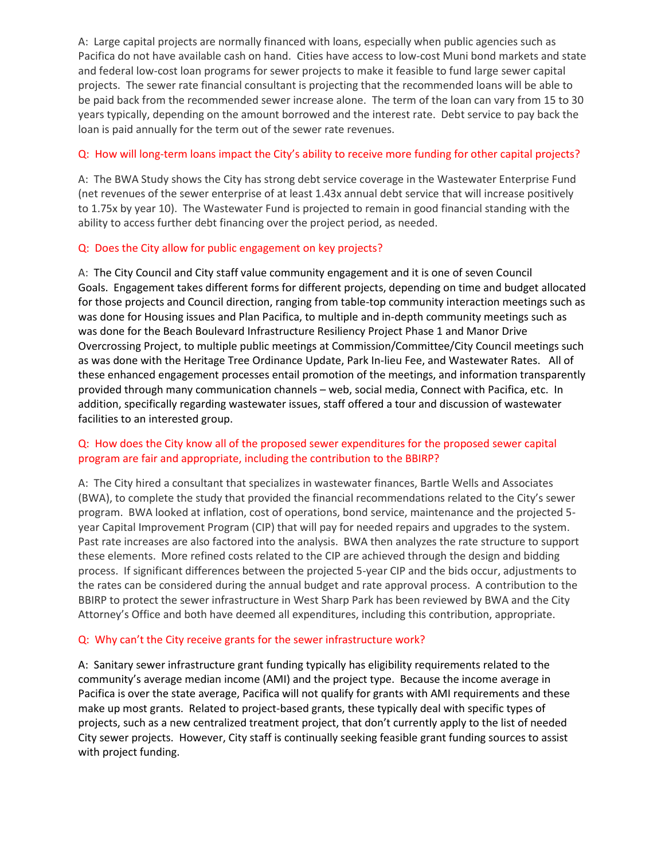A: Large capital projects are normally financed with loans, especially when public agencies such as Pacifica do not have available cash on hand. Cities have access to low-cost Muni bond markets and state and federal low-cost loan programs for sewer projects to make it feasible to fund large sewer capital projects. The sewer rate financial consultant is projecting that the recommended loans will be able to be paid back from the recommended sewer increase alone. The term of the loan can vary from 15 to 30 years typically, depending on the amount borrowed and the interest rate. Debt service to pay back the loan is paid annually for the term out of the sewer rate revenues.

## Q: How will long-term loans impact the City's ability to receive more funding for other capital projects?

A: The BWA Study shows the City has strong debt service coverage in the Wastewater Enterprise Fund (net revenues of the sewer enterprise of at least 1.43x annual debt service that will increase positively to 1.75x by year 10). The Wastewater Fund is projected to remain in good financial standing with the ability to access further debt financing over the project period, as needed.

## Q: Does the City allow for public engagement on key projects?

A: The City Council and City staff value community engagement and it is one of seven Council Goals. Engagement takes different forms for different projects, depending on time and budget allocated for those projects and Council direction, ranging from table-top community interaction meetings such as was done for Housing issues and Plan Pacifica, to multiple and in-depth community meetings such as was done for the Beach Boulevard Infrastructure Resiliency Project Phase 1 and Manor Drive Overcrossing Project, to multiple public meetings at Commission/Committee/City Council meetings such as was done with the Heritage Tree Ordinance Update, Park In-lieu Fee, and Wastewater Rates. All of these enhanced engagement processes entail promotion of the meetings, and information transparently provided through many communication channels – web, social media, Connect with Pacifica, etc. In addition, specifically regarding wastewater issues, staff offered a tour and discussion of wastewater facilities to an interested group.

## Q: How does the City know all of the proposed sewer expenditures for the proposed sewer capital program are fair and appropriate, including the contribution to the BBIRP?

A: The City hired a consultant that specializes in wastewater finances, Bartle Wells and Associates (BWA), to complete the study that provided the financial recommendations related to the City's sewer program. BWA looked at inflation, cost of operations, bond service, maintenance and the projected 5 year Capital Improvement Program (CIP) that will pay for needed repairs and upgrades to the system. Past rate increases are also factored into the analysis. BWA then analyzes the rate structure to support these elements. More refined costs related to the CIP are achieved through the design and bidding process. If significant differences between the projected 5-year CIP and the bids occur, adjustments to the rates can be considered during the annual budget and rate approval process. A contribution to the BBIRP to protect the sewer infrastructure in West Sharp Park has been reviewed by BWA and the City Attorney's Office and both have deemed all expenditures, including this contribution, appropriate.

#### Q: Why can't the City receive grants for the sewer infrastructure work?

A: Sanitary sewer infrastructure grant funding typically has eligibility requirements related to the community's average median income (AMI) and the project type. Because the income average in Pacifica is over the state average, Pacifica will not qualify for grants with AMI requirements and these make up most grants. Related to project-based grants, these typically deal with specific types of projects, such as a new centralized treatment project, that don't currently apply to the list of needed City sewer projects. However, City staff is continually seeking feasible grant funding sources to assist with project funding.